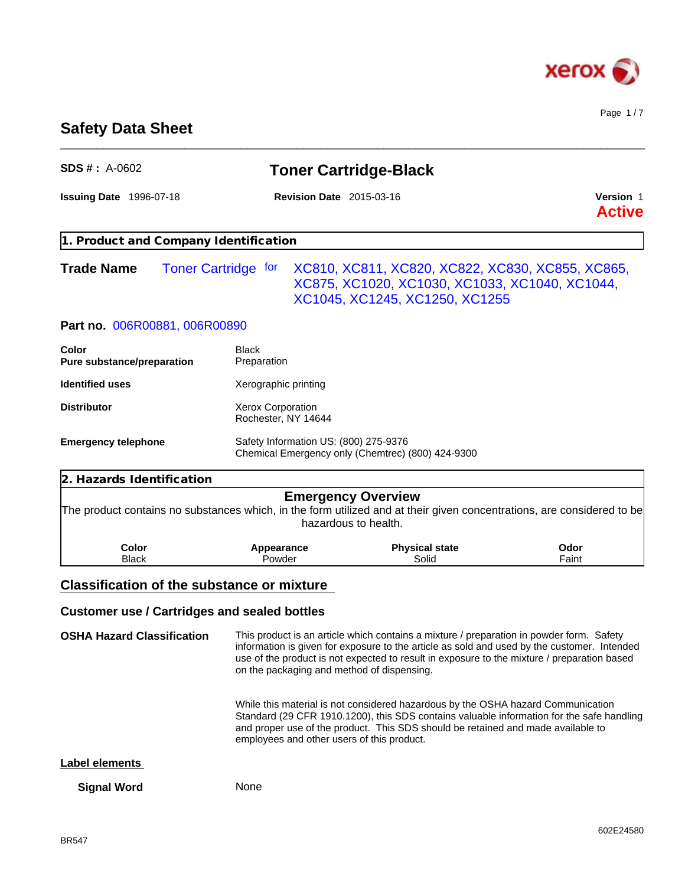

Page 1 / 7

# **Safety Data Sheet**

|                                                     |                                            | <b>Toner Cartridge-Black</b>                                                                                                                                                                                                                                                           |                            |
|-----------------------------------------------------|--------------------------------------------|----------------------------------------------------------------------------------------------------------------------------------------------------------------------------------------------------------------------------------------------------------------------------------------|----------------------------|
| <b>Issuing Date 1996-07-18</b>                      | <b>Revision Date 2015-03-16</b>            |                                                                                                                                                                                                                                                                                        | Version 1<br><b>Active</b> |
| 1. Product and Company Identification               |                                            |                                                                                                                                                                                                                                                                                        |                            |
| <b>Trade Name</b>                                   | <b>Toner Cartridge for</b>                 | XC810, XC811, XC820, XC822, XC830, XC855, XC865,<br>XC875, XC1020, XC1030, XC1033, XC1040, XC1044,<br>XC1045, XC1245, XC1250, XC1255                                                                                                                                                   |                            |
| Part no. 006R00881, 006R00890                       |                                            |                                                                                                                                                                                                                                                                                        |                            |
| Color<br>Pure substance/preparation                 | <b>Black</b><br>Preparation                |                                                                                                                                                                                                                                                                                        |                            |
| <b>Identified uses</b>                              | Xerographic printing                       |                                                                                                                                                                                                                                                                                        |                            |
| <b>Distributor</b>                                  | Xerox Corporation<br>Rochester, NY 14644   |                                                                                                                                                                                                                                                                                        |                            |
| <b>Emergency telephone</b>                          | Safety Information US: (800) 275-9376      | Chemical Emergency only (Chemtrec) (800) 424-9300                                                                                                                                                                                                                                      |                            |
|                                                     |                                            |                                                                                                                                                                                                                                                                                        |                            |
| 2. Hazards Identification                           |                                            |                                                                                                                                                                                                                                                                                        |                            |
|                                                     |                                            | <b>Emergency Overview</b><br>The product contains no substances which, in the form utilized and at their given concentrations, are considered to be<br>hazardous to health.                                                                                                            |                            |
| Color<br><b>Black</b>                               | Appearance<br>Powder                       | <b>Physical state</b><br>Solid                                                                                                                                                                                                                                                         | Odor<br>Faint              |
| <b>Classification of the substance or mixture</b>   |                                            |                                                                                                                                                                                                                                                                                        |                            |
| <b>Customer use / Cartridges and sealed bottles</b> |                                            |                                                                                                                                                                                                                                                                                        |                            |
| <b>OSHA Hazard Classification</b>                   | on the packaging and method of dispensing. | This product is an article which contains a mixture / preparation in powder form. Safety<br>information is given for exposure to the article as sold and used by the customer. Intended<br>use of the product is not expected to result in exposure to the mixture / preparation based |                            |
|                                                     | employees and other users of this product. | While this material is not considered hazardous by the OSHA hazard Communication<br>Standard (29 CFR 1910.1200), this SDS contains valuable information for the safe handling<br>and proper use of the product. This SDS should be retained and made available to                      |                            |
| Label elements                                      |                                            |                                                                                                                                                                                                                                                                                        |                            |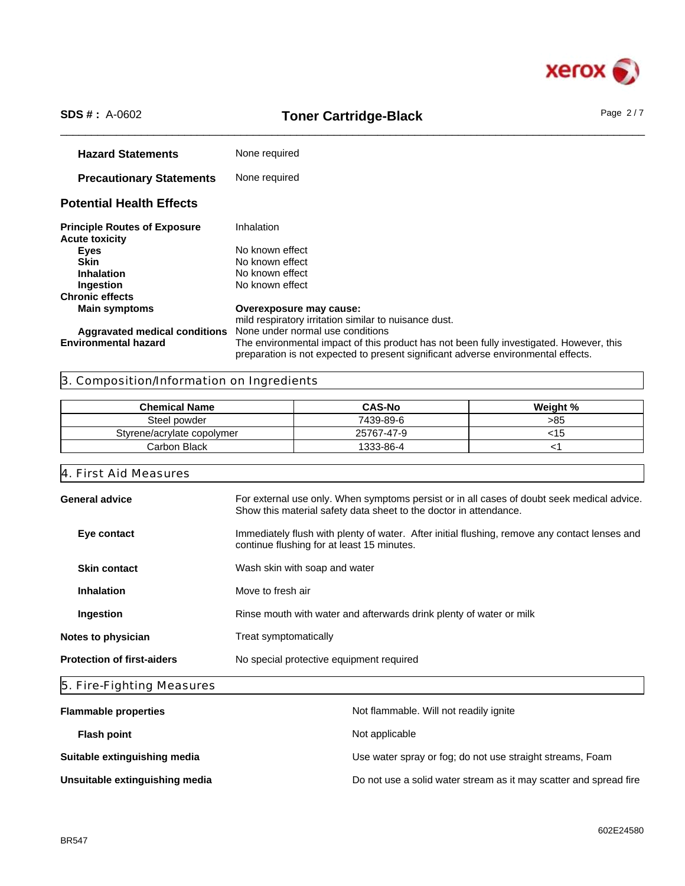

# \_\_\_\_\_\_\_\_\_\_\_\_\_\_\_\_\_\_\_\_\_\_\_\_\_\_\_\_\_\_\_\_\_\_\_\_\_\_\_\_\_\_\_\_\_\_\_\_\_\_\_\_\_\_\_\_\_\_\_\_\_\_\_\_\_\_\_\_\_\_\_\_\_\_\_\_\_\_\_\_\_\_\_\_\_\_\_\_\_\_\_\_\_\_ **SDS # :** A-0602 **Toner Cartridge-Black** Page 2 / 7

**Hazard Statements** None required **Precautionary Statements** None required **Potential Health Effects Principle Routes of Exposure** Inhalation **Acute toxicity Eyes** No known effect **Skin**<br> **Inhalation**<br>
No known effect<br>
No known effect **Inhalation** No known effect<br> **Ingestion** No known effect **No known effect Chronic effects Overexposure may cause:** mild respiratory irritation similar to nuisance dust.<br>None under normal use conditions **Aggravated medical conditions Environmental hazard** The environmental impact of this product has not been fully investigated. However, this preparation is not expected to present significant adverse environmental effects.

# 3. Composition/Information on Ingredients

| <b>Chemical Name</b>       | <b>CAS-No</b> | Weight % |
|----------------------------|---------------|----------|
| Steel powder               | 7439-89-6     | >85      |
| Styrene/acrylate copolymer | 25767-47-9    | <⊺ວ      |
| Carbon Black               | 1333-86-4     |          |

# 4. First Aid Measures

| <b>General advice</b>             | For external use only. When symptoms persist or in all cases of doubt seek medical advice.<br>Show this material safety data sheet to the doctor in attendance. |
|-----------------------------------|-----------------------------------------------------------------------------------------------------------------------------------------------------------------|
| Eye contact                       | Immediately flush with plenty of water. After initial flushing, remove any contact lenses and<br>continue flushing for at least 15 minutes.                     |
| <b>Skin contact</b>               | Wash skin with soap and water                                                                                                                                   |
| <b>Inhalation</b>                 | Move to fresh air                                                                                                                                               |
| Ingestion                         | Rinse mouth with water and afterwards drink plenty of water or milk                                                                                             |
| Notes to physician                | Treat symptomatically                                                                                                                                           |
| <b>Protection of first-aiders</b> | No special protective equipment required                                                                                                                        |
|                                   |                                                                                                                                                                 |

# 5. Fire-Fighting Measures

| <b>Flammable properties</b>    | Not flammable. Will not readily ignite                            |
|--------------------------------|-------------------------------------------------------------------|
| <b>Flash point</b>             | Not applicable                                                    |
| Suitable extinguishing media   | Use water spray or fog; do not use straight streams, Foam         |
| Unsuitable extinguishing media | Do not use a solid water stream as it may scatter and spread fire |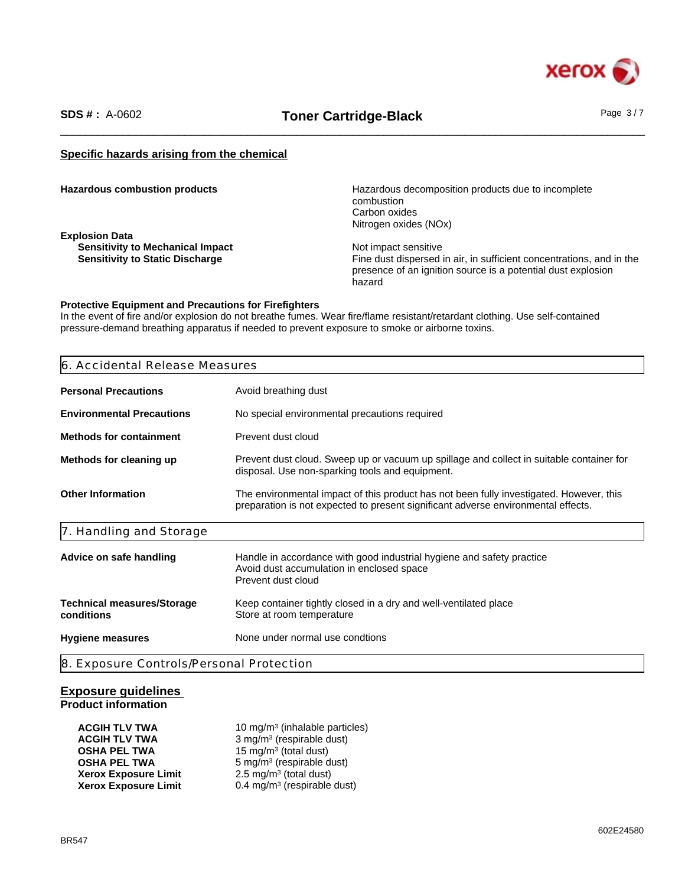

# \_\_\_\_\_\_\_\_\_\_\_\_\_\_\_\_\_\_\_\_\_\_\_\_\_\_\_\_\_\_\_\_\_\_\_\_\_\_\_\_\_\_\_\_\_\_\_\_\_\_\_\_\_\_\_\_\_\_\_\_\_\_\_\_\_\_\_\_\_\_\_\_\_\_\_\_\_\_\_\_\_\_\_\_\_\_\_\_\_\_\_\_\_\_ **SDS # :** A-0602 **Toner Cartridge-Black** Page 3 / 7

# **Specific hazards arising from the chemical**

| <b>Hazardous combustion products</b> |  |
|--------------------------------------|--|
|--------------------------------------|--|

**Explosion Data Sensitivity to Mechanical Impact <br>
Sensitivity to Static Discharge Manual Sensitivity to Static Discharge Manual Sensitive Sensitive Sensitive S** 

Hazardous decomposition products due to incomplete combustion Carbon oxides Nitrogen oxides (NOx)

Fine dust dispersed in air, in sufficient concentrations, and in the presence of an ignition source is a potential dust explosion hazard

#### **Protective Equipment and Precautions for Firefighters**

In the event of fire and/or explosion do not breathe fumes. Wear fire/flame resistant/retardant clothing. Use self-contained pressure-demand breathing apparatus if needed to prevent exposure to smoke or airborne toxins.

| 6. Accidental Release Measures                                                                                                                                                                           |                                                                                                                                             |
|----------------------------------------------------------------------------------------------------------------------------------------------------------------------------------------------------------|---------------------------------------------------------------------------------------------------------------------------------------------|
| <b>Personal Precautions</b>                                                                                                                                                                              | Avoid breathing dust                                                                                                                        |
| <b>Environmental Precautions</b>                                                                                                                                                                         | No special environmental precautions required                                                                                               |
| <b>Methods for containment</b>                                                                                                                                                                           | Prevent dust cloud                                                                                                                          |
| Methods for cleaning up                                                                                                                                                                                  | Prevent dust cloud. Sweep up or vacuum up spillage and collect in suitable container for<br>disposal. Use non-sparking tools and equipment. |
| <b>Other Information</b><br>The environmental impact of this product has not been fully investigated. However, this<br>preparation is not expected to present significant adverse environmental effects. |                                                                                                                                             |
| 7. Handling and Storage                                                                                                                                                                                  |                                                                                                                                             |
| Advice on safe handling                                                                                                                                                                                  | Handle in accordance with good industrial hygiene and safety practice<br>Avoid dust accumulation in enclosed space<br>Prevent dust cloud    |
| <b>Technical measures/Storage</b><br>conditions                                                                                                                                                          | Keep container tightly closed in a dry and well-ventilated place<br>Store at room temperature                                               |
| <b>Hygiene measures</b>                                                                                                                                                                                  | None under normal use condtions                                                                                                             |

## **Exposure guidelines Product information**

| ACGIH TLV TWA        | 10 mg/m <sup>3</sup> (inhalable particles) |  |
|----------------------|--------------------------------------------|--|
| ACGIH TLV TWA        | 3 mg/m <sup>3</sup> (respirable dust)      |  |
| OSHA PEL TWA         | 15 mg/m <sup>3</sup> (total dust)          |  |
| OSHA PEL TWA         | 5 mg/m <sup>3</sup> (respirable dust)      |  |
| Xerox Exposure Limit | $2.5 \text{ mg/m}^3$ (total dust)          |  |
| Xerox Exposure Limit | 0.4 mg/m <sup>3</sup> (respirable dust)    |  |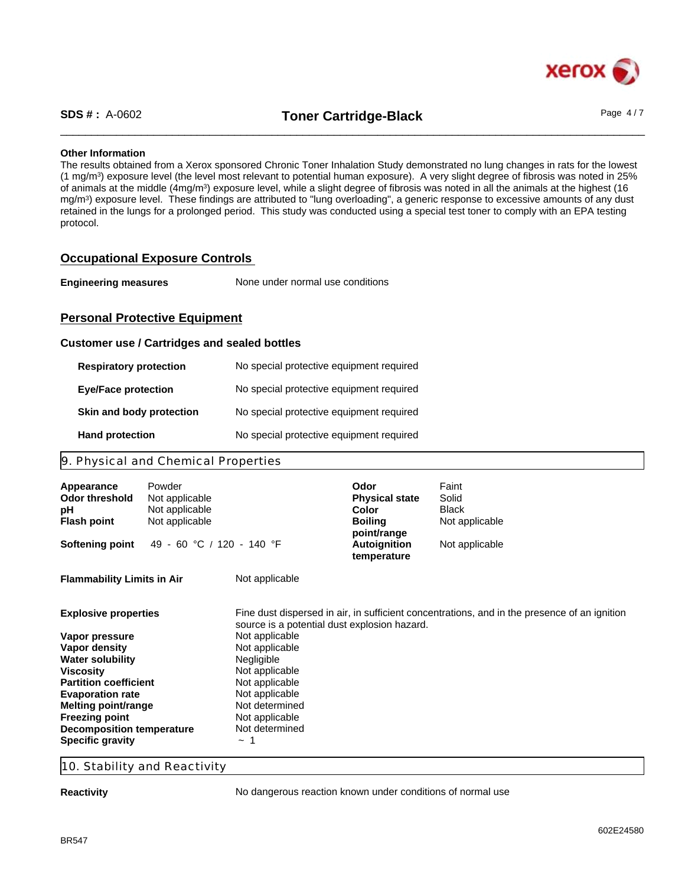

\_\_\_\_\_\_\_\_\_\_\_\_\_\_\_\_\_\_\_\_\_\_\_\_\_\_\_\_\_\_\_\_\_\_\_\_\_\_\_\_\_\_\_\_\_\_\_\_\_\_\_\_\_\_\_\_\_\_\_\_\_\_\_\_\_\_\_\_\_\_\_\_\_\_\_\_\_\_\_\_\_\_\_\_\_\_\_\_\_\_\_\_\_\_ **SDS # :** A-0602 **Toner Cartridge-Black** Page 4 / 7

# **Other Information**

The results obtained from a Xerox sponsored Chronic Toner Inhalation Study demonstrated no lung changes in rats for the lowest (1 mg/m<sup>3</sup> ) exposure level (the level most relevant to potential human exposure). A very slight degree of fibrosis was noted in 25% of animals at the middle (4mg/m<sup>3</sup>) exposure level, while a slight degree of fibrosis was noted in all the animals at the highest (16 mg/m<sup>3</sup> ) exposure level. These findings are attributed to "lung overloading", a generic response to excessive amounts of any dust retained in the lungs for a prolonged period. This study was conducted using a special test toner to comply with an EPA testing protocol.

# **Occupational Exposure Controls**

| <b>Engineering measures</b> | None under normal use conditions |  |
|-----------------------------|----------------------------------|--|
|-----------------------------|----------------------------------|--|

# **Personal Protective Equipment**

## **Customer use / Cartridges and sealed bottles**

| <b>Respiratory protection</b> | No special protective equipment required |
|-------------------------------|------------------------------------------|
| <b>Eye/Face protection</b>    | No special protective equipment required |
| Skin and body protection      | No special protective equipment required |
| <b>Hand protection</b>        | No special protective equipment required |

# 9. Physical and Chemical Properties

| Appearance<br>Odor threshold<br>рH<br><b>Flash point</b> | Powder<br>Not applicable<br>Not applicable<br>Not applicable |                                              | Odor<br><b>Physical state</b><br>Color<br><b>Boiling</b> | Faint<br>Solid<br><b>Black</b><br>Not applicable                                             |
|----------------------------------------------------------|--------------------------------------------------------------|----------------------------------------------|----------------------------------------------------------|----------------------------------------------------------------------------------------------|
| <b>Softening point</b>                                   | 49 - 60 °C / 120 - 140 °F                                    |                                              | point/range<br>Autoignition<br>temperature               | Not applicable                                                                               |
| <b>Flammability Limits in Air</b>                        |                                                              | Not applicable                               |                                                          |                                                                                              |
| <b>Explosive properties</b>                              |                                                              | source is a potential dust explosion hazard. |                                                          | Fine dust dispersed in air, in sufficient concentrations, and in the presence of an ignition |
| Vapor pressure                                           |                                                              | Not applicable                               |                                                          |                                                                                              |
| Vapor density                                            |                                                              | Not applicable                               |                                                          |                                                                                              |
| <b>Water solubility</b><br>Viscosity                     |                                                              | <b>Negligible</b><br>Not applicable          |                                                          |                                                                                              |
| <b>Partition coefficient</b>                             |                                                              | Not applicable                               |                                                          |                                                                                              |
| <b>Evaporation rate</b>                                  |                                                              | Not applicable                               |                                                          |                                                                                              |
| Melting point/range                                      |                                                              | Not determined                               |                                                          |                                                                                              |
| <b>Freezing point</b>                                    |                                                              | Not applicable                               |                                                          |                                                                                              |
| <b>Decomposition temperature</b>                         |                                                              | Not determined                               |                                                          |                                                                                              |
| <b>Specific gravity</b>                                  |                                                              | $\sim$                                       |                                                          |                                                                                              |

## 10. Stability and Reactivity

**Reactivity Reactivity No dangerous reaction known under conditions of normal use**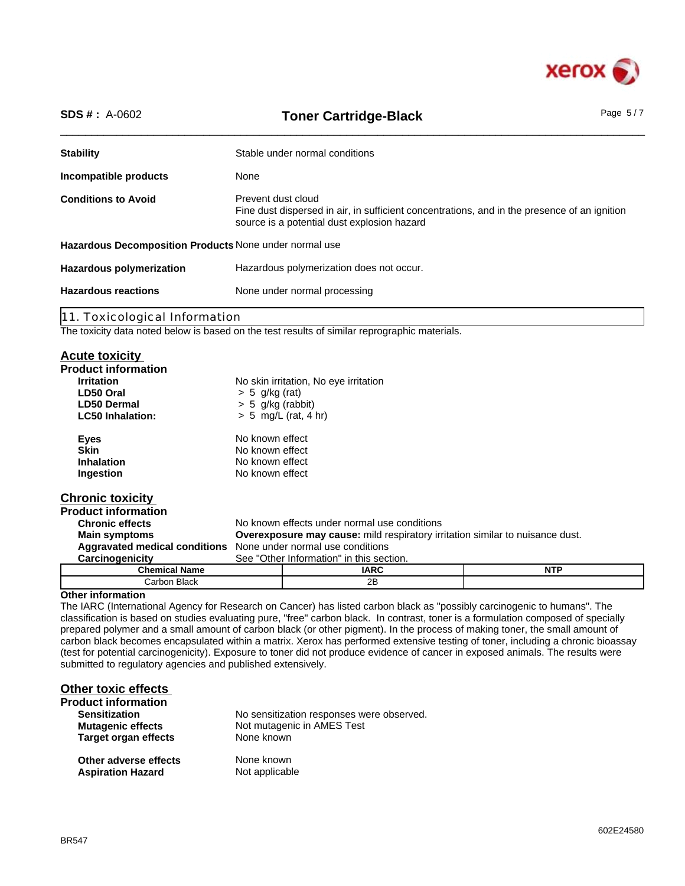

| <b>SDS #: A-0602</b><br><b>Toner Cartridge-Black</b>   |                                                                                                                                                                   | Page $5/7$ |  |
|--------------------------------------------------------|-------------------------------------------------------------------------------------------------------------------------------------------------------------------|------------|--|
| <b>Stability</b>                                       | Stable under normal conditions                                                                                                                                    |            |  |
| Incompatible products                                  | None                                                                                                                                                              |            |  |
| <b>Conditions to Avoid</b>                             | Prevent dust cloud<br>Fine dust dispersed in air, in sufficient concentrations, and in the presence of an ignition<br>source is a potential dust explosion hazard |            |  |
| Hazardous Decomposition Products None under normal use |                                                                                                                                                                   |            |  |
| <b>Hazardous polymerization</b>                        | Hazardous polymerization does not occur.                                                                                                                          |            |  |
| <b>Hazardous reactions</b>                             | None under normal processing                                                                                                                                      |            |  |
| 11. Toxicological Information                          |                                                                                                                                                                   |            |  |
|                                                        | $\sim$<br>.                                                                                                                                                       |            |  |

The toxicity data noted below is based on the test results of similar reprographic materials.

# **Acute toxicity**

| . <i>.</i>                                                            |                     |                                                                                      |            |  |
|-----------------------------------------------------------------------|---------------------|--------------------------------------------------------------------------------------|------------|--|
| <b>Product information</b>                                            |                     |                                                                                      |            |  |
| <b>Irritation</b>                                                     |                     | No skin irritation, No eye irritation                                                |            |  |
| LD50 Oral                                                             | $> 5$ g/kg (rat)    |                                                                                      |            |  |
| LD50 Dermal                                                           | $> 5$ g/kg (rabbit) |                                                                                      |            |  |
| <b>LC50 Inhalation:</b>                                               |                     | $> 5$ mg/L (rat, 4 hr)                                                               |            |  |
| <b>Eyes</b>                                                           | No known effect     |                                                                                      |            |  |
| <b>Skin</b>                                                           | No known effect     |                                                                                      |            |  |
| <b>Inhalation</b>                                                     | No known effect     |                                                                                      |            |  |
| Ingestion                                                             | No known effect     |                                                                                      |            |  |
| <b>Chronic toxicity</b>                                               |                     |                                                                                      |            |  |
| <b>Product information</b>                                            |                     |                                                                                      |            |  |
| <b>Chronic effects</b>                                                |                     | No known effects under normal use conditions                                         |            |  |
| <b>Main symptoms</b>                                                  |                     | <b>Overexposure may cause:</b> mild respiratory irritation similar to nuisance dust. |            |  |
| <b>Aggravated medical conditions</b> None under normal use conditions |                     |                                                                                      |            |  |
| Carcinogenicity                                                       |                     | See "Other Information" in this section.                                             |            |  |
| <b>Chemical Name</b>                                                  |                     | <b>IARC</b>                                                                          | <b>NTP</b> |  |
| Carbon Black                                                          |                     | 2B                                                                                   |            |  |

# **Other information**

The IARC (International Agency for Research on Cancer) has listed carbon black as "possibly carcinogenic to humans". The classification is based on studies evaluating pure, "free" carbon black. In contrast, toner is a formulation composed of specially prepared polymer and a small amount of carbon black (or other pigment). In the process of making toner, the small amount of carbon black becomes encapsulated within a matrix. Xerox has performed extensive testing of toner, including a chronic bioassay (test for potential carcinogenicity). Exposure to toner did not produce evidence of cancer in exposed animals. The results were submitted to regulatory agencies and published extensively.

# **Other toxic effects**

| <b>Product information</b>  |                                           |
|-----------------------------|-------------------------------------------|
| <b>Sensitization</b>        | No sensitization responses were observed. |
| <b>Mutagenic effects</b>    | Not mutagenic in AMES Test                |
| <b>Target organ effects</b> | None known                                |
| Other adverse effects       | None known                                |
| <b>Aspiration Hazard</b>    | Not applicable                            |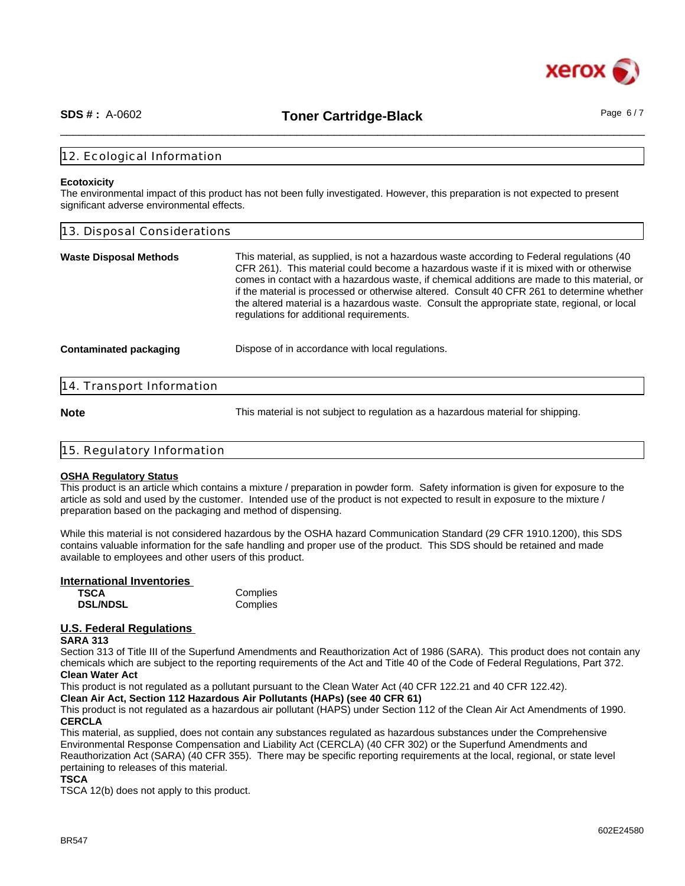

\_\_\_\_\_\_\_\_\_\_\_\_\_\_\_\_\_\_\_\_\_\_\_\_\_\_\_\_\_\_\_\_\_\_\_\_\_\_\_\_\_\_\_\_\_\_\_\_\_\_\_\_\_\_\_\_\_\_\_\_\_\_\_\_\_\_\_\_\_\_\_\_\_\_\_\_\_\_\_\_\_\_\_\_\_\_\_\_\_\_\_\_\_\_ **SDS # :** A-0602 **Toner Cartridge-Black** Page 6 / 7

# 12. Ecological Information

#### **Ecotoxicity**

The environmental impact of this product has not been fully investigated. However, this preparation is not expected to present significant adverse environmental effects.

| 13. Disposal Considerations                                                                                                                                                                                                                                                                                                                                                                                                                                                                                                    |  |  |
|--------------------------------------------------------------------------------------------------------------------------------------------------------------------------------------------------------------------------------------------------------------------------------------------------------------------------------------------------------------------------------------------------------------------------------------------------------------------------------------------------------------------------------|--|--|
| This material, as supplied, is not a hazardous waste according to Federal regulations (40<br>CFR 261). This material could become a hazardous waste if it is mixed with or otherwise<br>comes in contact with a hazardous waste, if chemical additions are made to this material, or<br>if the material is processed or otherwise altered. Consult 40 CFR 261 to determine whether<br>the altered material is a hazardous waste. Consult the appropriate state, regional, or local<br>regulations for additional requirements. |  |  |
| Dispose of in accordance with local regulations.                                                                                                                                                                                                                                                                                                                                                                                                                                                                               |  |  |
|                                                                                                                                                                                                                                                                                                                                                                                                                                                                                                                                |  |  |
|                                                                                                                                                                                                                                                                                                                                                                                                                                                                                                                                |  |  |

**Note** This material is not subject to regulation as a hazardous material for shipping.

| 15. Regulatory Information |  |  |  |
|----------------------------|--|--|--|
|                            |  |  |  |

#### **OSHA Regulatory Status**

This product is an article which contains a mixture / preparation in powder form. Safety information is given for exposure to the article as sold and used by the customer. Intended use of the product is not expected to result in exposure to the mixture / preparation based on the packaging and method of dispensing.

While this material is not considered hazardous by the OSHA hazard Communication Standard (29 CFR 1910.1200), this SDS contains valuable information for the safe handling and proper use of the product. This SDS should be retained and made available to employees and other users of this product.

#### **International Inventories**

| <b>TSCA</b>     | Complies |
|-----------------|----------|
| <b>DSL/NDSL</b> | Complies |

# **U.S. Federal Regulations**

# **SARA 313**

Section 313 of Title III of the Superfund Amendments and Reauthorization Act of 1986 (SARA). This product does not contain any chemicals which are subject to the reporting requirements of the Act and Title 40 of the Code of Federal Regulations, Part 372. **Clean Water Act**

This product is not regulated as a pollutant pursuant to the Clean Water Act (40 CFR 122.21 and 40 CFR 122.42).

**Clean Air Act, Section 112 Hazardous Air Pollutants (HAPs) (see 40 CFR 61)**

This product is not regulated as a hazardous air pollutant (HAPS) under Section 112 of the Clean Air Act Amendments of 1990. **CERCLA**

This material, as supplied, does not contain any substances regulated as hazardous substances under the Comprehensive Environmental Response Compensation and Liability Act (CERCLA) (40 CFR 302) or the Superfund Amendments and Reauthorization Act (SARA) (40 CFR 355). There may be specific reporting requirements at the local, regional, or state level pertaining to releases of this material.

#### **TSCA**

TSCA 12(b) does not apply to this product.